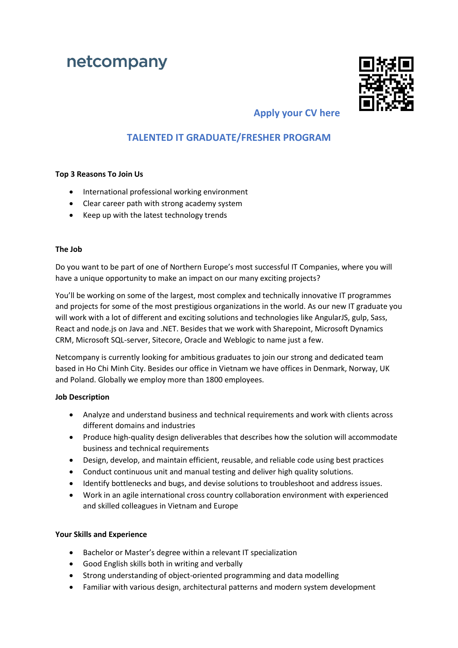# netcompany



# **Apply your CV here**

## **TALENTED IT GRADUATE/FRESHER PROGRAM**

### **Top 3 Reasons To Join Us**

- International professional working environment
- Clear career path with strong academy system
- Keep up with the latest technology trends

### **The Job**

Do you want to be part of one of Northern Europe's most successful IT Companies, where you will have a unique opportunity to make an impact on our many exciting projects?

You'll be working on some of the largest, most complex and technically innovative IT programmes and projects for some of the most prestigious organizations in the world. As our new IT graduate you will work with a lot of different and exciting solutions and technologies like AngularJS, gulp, Sass, React and node.js on Java and .NET. Besides that we work with Sharepoint, Microsoft Dynamics CRM, Microsoft SQL-server, Sitecore, Oracle and Weblogic to name just a few.

Netcompany is currently looking for ambitious graduates to join our strong and dedicated team based in Ho Chi Minh City. Besides our office in Vietnam we have offices in Denmark, Norway, UK and Poland. Globally we employ more than 1800 employees.

## **Job Description**

- Analyze and understand business and technical requirements and work with clients across different domains and industries
- Produce high-quality design deliverables that describes how the solution will accommodate business and technical requirements
- Design, develop, and maintain efficient, reusable, and reliable code using best practices
- Conduct continuous unit and manual testing and deliver high quality solutions.
- Identify bottlenecks and bugs, and devise solutions to troubleshoot and address issues.
- Work in an agile international cross country collaboration environment with experienced and skilled colleagues in Vietnam and Europe

## **Your Skills and Experience**

- Bachelor or Master's degree within a relevant IT specialization
- Good English skills both in writing and verbally
- Strong understanding of object-oriented programming and data modelling
- Familiar with various design, architectural patterns and modern system development